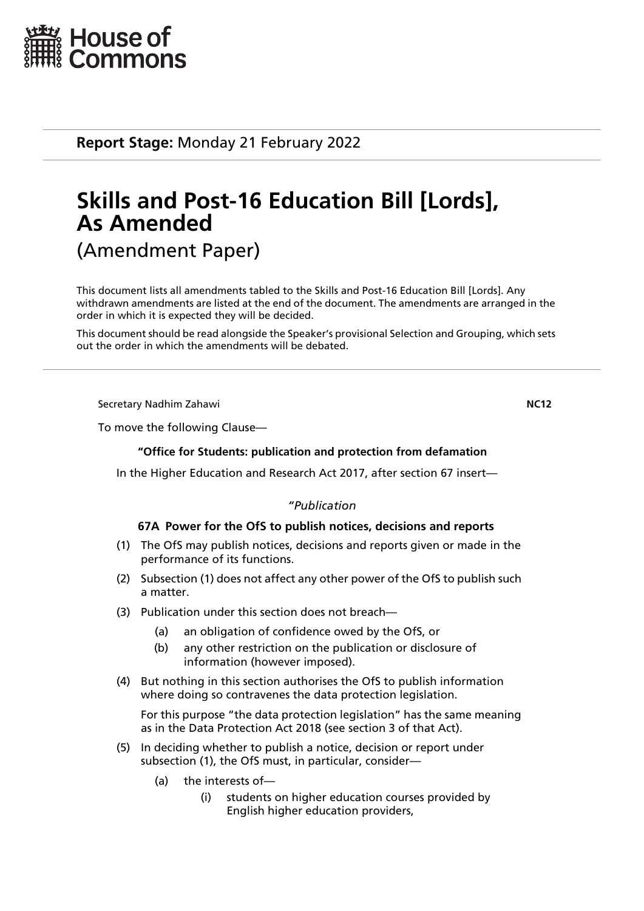

**Report Stage:** Monday 21 February 2022

# **Skills and Post-16 Education Bill [Lords], As Amended**

(Amendment Paper)

This document lists all amendments tabled to the Skills and Post-16 Education Bill [Lords]. Any withdrawn amendments are listed at the end of the document. The amendments are arranged in the order in which it is expected they will be decided.

This document should be read alongside the Speaker's provisional Selection and Grouping, which sets out the order in which the amendments will be debated.

Secretary Nadhim Zahawi **NC12**

To move the following Clause—

## **"Office for Students: publication and protection from defamation**

In the Higher Education and Research Act 2017, after section 67 insert—

## *"Publication*

## **67A Power for the OfS to publish notices, decisions and reports**

- (1) The OfS may publish notices, decisions and reports given or made in the performance of its functions.
- (2) Subsection (1) does not affect any other power of the OfS to publish such a matter.
- (3) Publication under this section does not breach—
	- (a) an obligation of confidence owed by the OfS, or
	- (b) any other restriction on the publication or disclosure of information (however imposed).
- (4) But nothing in this section authorises the OfS to publish information where doing so contravenes the data protection legislation.

For this purpose "the data protection legislation" has the same meaning as in the Data Protection Act 2018 (see section 3 of that Act).

- (5) In deciding whether to publish a notice, decision or report under subsection (1), the OfS must, in particular, consider—
	- (a) the interests of—
		- (i) students on higher education courses provided by English higher education providers,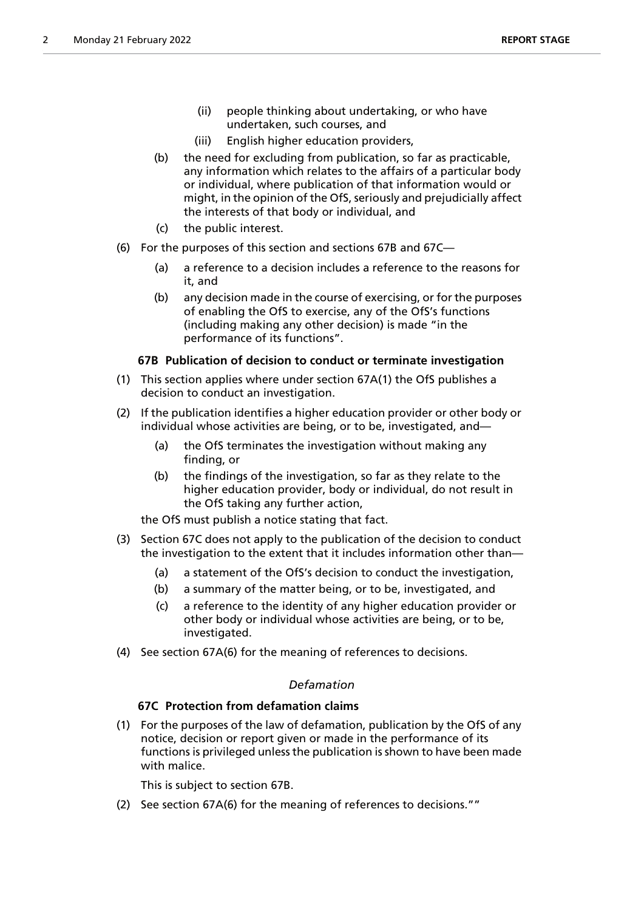- (ii) people thinking about undertaking, or who have undertaken, such courses, and
- (iii) English higher education providers,
- (b) the need for excluding from publication, so far as practicable, any information which relates to the affairs of a particular body or individual, where publication of that information would or might, in the opinion of the OfS, seriously and prejudicially affect the interests of that body or individual, and
- (c) the public interest.
- (6) For the purposes of this section and sections 67B and 67C—
	- (a) a reference to a decision includes a reference to the reasons for it, and
	- (b) any decision made in the course of exercising, or for the purposes of enabling the OfS to exercise, any of the OfS's functions (including making any other decision) is made "in the performance of its functions".

## **67B Publication of decision to conduct or terminate investigation**

- (1) This section applies where under section 67A(1) the OfS publishes a decision to conduct an investigation.
- (2) If the publication identifies a higher education provider or other body or individual whose activities are being, or to be, investigated, and—
	- (a) the OfS terminates the investigation without making any finding, or
	- (b) the findings of the investigation, so far as they relate to the higher education provider, body or individual, do not result in the OfS taking any further action,

the OfS must publish a notice stating that fact.

- (3) Section 67C does not apply to the publication of the decision to conduct the investigation to the extent that it includes information other than—
	- (a) a statement of the OfS's decision to conduct the investigation,
	- (b) a summary of the matter being, or to be, investigated, and
	- (c) a reference to the identity of any higher education provider or other body or individual whose activities are being, or to be, investigated.
- (4) See section 67A(6) for the meaning of references to decisions.

## *Defamation*

## **67C Protection from defamation claims**

(1) For the purposes of the law of defamation, publication by the OfS of any notice, decision or report given or made in the performance of its functions is privileged unless the publication is shown to have been made with malice.

This is subject to section 67B.

(2) See section 67A(6) for the meaning of references to decisions.""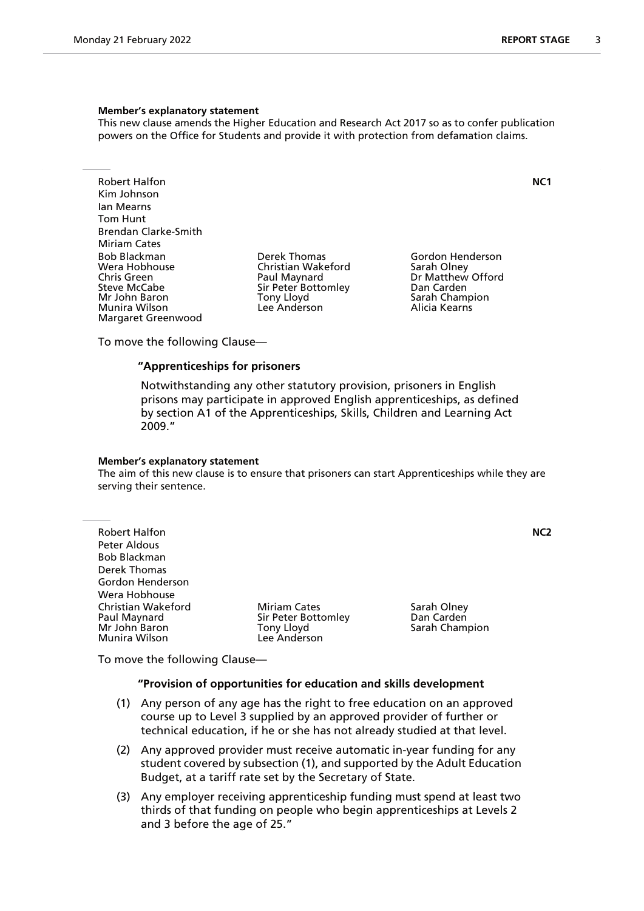This new clause amends the Higher Education and Research Act 2017 so as to confer publication powers on the Office for Students and provide it with protection from defamation claims.

Robert Halfon **NC1** Kim Johnson Ian Mearns Tom Hunt Brendan Clarke-Smith Miriam Cates<br>Bob Blackman Bob Blackman Derek Thomas Gordon Henderson Wera Hobhouse Christian Wakeford<br>
Chris Green Christian Olau Paul Maynard Steve McCabe Sir Peter Bottomley San Carden<br>1991 - Sarah Chammer Sarah Chammer Sarah Chammer Sarah Chammer Sarah Chammer Sarah Chammer Sarah Chammer Sarah Munira Wilson Margaret Greenwood

Tony Lloyd **Sarah Champion**<br>
Lee Anderson **The Sarah Champion** 

Dr Matthew Offord

To move the following Clause—

## **"Apprenticeships for prisoners**

 Notwithstanding any other statutory provision, prisoners in English prisons may participate in approved English apprenticeships, as defined by section A1 of the Apprenticeships, Skills, Children and Learning Act 2009."

#### **Member's explanatory statement**

The aim of this new clause is to ensure that prisoners can start Apprenticeships while they are serving their sentence.

| <b>Miriam Cates</b><br>Sir Peter Bottomley<br>Tony Lloyd<br>Lee Anderson | Sarah Olney<br>Dan Carden<br>Sarah Champion |                  |
|--------------------------------------------------------------------------|---------------------------------------------|------------------|
|                                                                          |                                             | N <sub>C</sub> 2 |

To move the following Clause—

#### **"Provision of opportunities for education and skills development**

- (1) Any person of any age has the right to free education on an approved course up to Level 3 supplied by an approved provider of further or technical education, if he or she has not already studied at that level.
- (2) Any approved provider must receive automatic in-year funding for any student covered by subsection (1), and supported by the Adult Education Budget, at a tariff rate set by the Secretary of State.
- (3) Any employer receiving apprenticeship funding must spend at least two thirds of that funding on people who begin apprenticeships at Levels 2 and 3 before the age of 25."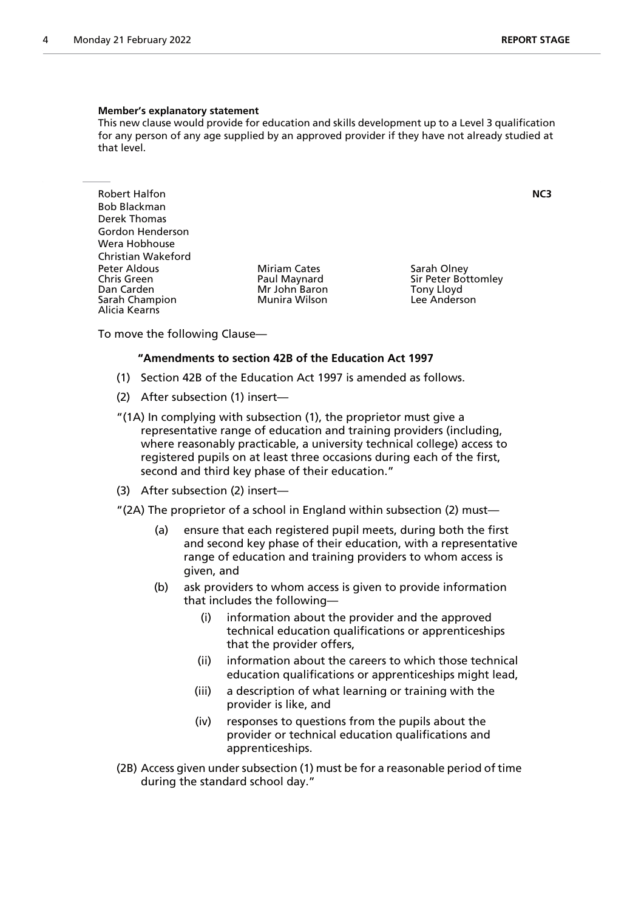This new clause would provide for education and skills development up to a Level 3 qualification for any person of any age supplied by an approved provider if they have not already studied at that level.

Robert Halfon **NC3** Bob Blackman Derek Thomas Gordon Henderson Wera Hobhouse Christian Wakeford Peter Aldous **Miriam Cates** Sarah Olney<br>
Chris Green **Sarah Olney Chris Chris Chris Creen** Sir Peter Bot Chris Green The Paul Maynard Sir Peter Bottomley<br>
Dan Carden The Sir Peter Bottomley<br>
Mr John Baron The Sir Peter Bottomley Sarah Champion Alicia Kearns

Mr John Baron Tony Lloyd<br>Munira Wilson The Lee Anderson

To move the following Clause—

#### **"Amendments to section 42B of the Education Act 1997**

- (1) Section 42B of the Education Act 1997 is amended as follows.
- (2) After subsection (1) insert—
- "(1A) In complying with subsection (1), the proprietor must give a representative range of education and training providers (including, where reasonably practicable, a university technical college) access to registered pupils on at least three occasions during each of the first, second and third key phase of their education."
- (3) After subsection (2) insert—
- "(2A) The proprietor of a school in England within subsection (2) must—
	- (a) ensure that each registered pupil meets, during both the first and second key phase of their education, with a representative range of education and training providers to whom access is given, and
	- (b) ask providers to whom access is given to provide information that includes the following—
		- (i) information about the provider and the approved technical education qualifications or apprenticeships that the provider offers,
		- (ii) information about the careers to which those technical education qualifications or apprenticeships might lead,
		- (iii) a description of what learning or training with the provider is like, and
		- (iv) responses to questions from the pupils about the provider or technical education qualifications and apprenticeships.
- (2B) Access given under subsection (1) must be for a reasonable period of time during the standard school day."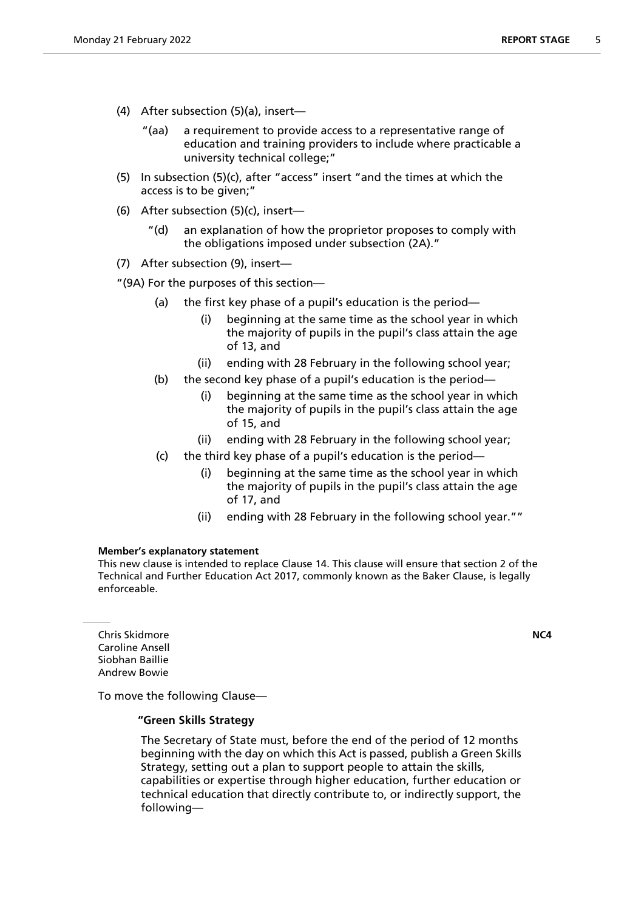- (4) After subsection (5)(a), insert—
	- "(aa) a requirement to provide access to a representative range of education and training providers to include where practicable a university technical college;"
- (5) In subsection (5)(c), after "access" insert "and the times at which the access is to be given;"
- (6) After subsection (5)(c), insert—
	- "(d) an explanation of how the proprietor proposes to comply with the obligations imposed under subsection (2A)."
- (7) After subsection (9), insert—

"(9A) For the purposes of this section—

- (a) the first key phase of a pupil's education is the period—
	- (i) beginning at the same time as the school year in which the majority of pupils in the pupil's class attain the age of 13, and
	- (ii) ending with 28 February in the following school year;
- (b) the second key phase of a pupil's education is the period—
	- (i) beginning at the same time as the school year in which the majority of pupils in the pupil's class attain the age of 15, and
	- (ii) ending with 28 February in the following school year;
- (c) the third key phase of a pupil's education is the period
	- beginning at the same time as the school year in which the majority of pupils in the pupil's class attain the age of 17, and
	- (ii) ending with 28 February in the following school year.""

#### **Member's explanatory statement**

This new clause is intended to replace Clause 14. This clause will ensure that section 2 of the Technical and Further Education Act 2017, commonly known as the Baker Clause, is legally enforceable.

Chris Skidmore **NC4** Caroline Ansell Siobhan Baillie Andrew Bowie

To move the following Clause—

## **"Green Skills Strategy**

 The Secretary of State must, before the end of the period of 12 months beginning with the day on which this Act is passed, publish a Green Skills Strategy, setting out a plan to support people to attain the skills, capabilities or expertise through higher education, further education or technical education that directly contribute to, or indirectly support, the following—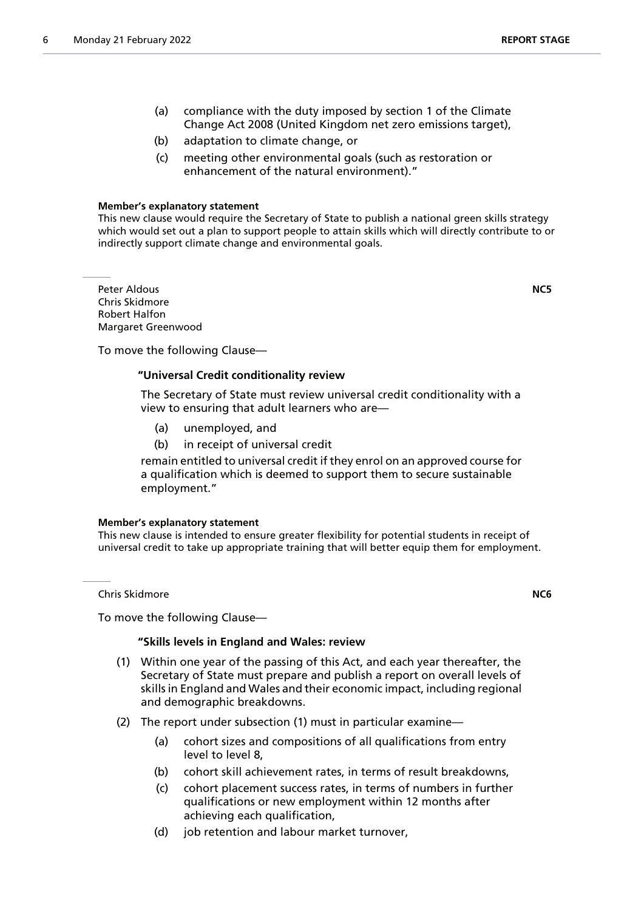- (a) compliance with the duty imposed by section 1 of the Climate Change Act 2008 (United Kingdom net zero emissions target),
- (b) adaptation to climate change, or
- (c) meeting other environmental goals (such as restoration or enhancement of the natural environment)."

This new clause would require the Secretary of State to publish a national green skills strategy which would set out a plan to support people to attain skills which will directly contribute to or indirectly support climate change and environmental goals.

Peter Aldous **NC5** Chris Skidmore Robert Halfon Margaret Greenwood

To move the following Clause—

## **"Universal Credit conditionality review**

 The Secretary of State must review universal credit conditionality with a view to ensuring that adult learners who are—

- (a) unemployed, and
- (b) in receipt of universal credit

remain entitled to universal credit if they enrol on an approved course for a qualification which is deemed to support them to secure sustainable employment."

#### **Member's explanatory statement**

This new clause is intended to ensure greater flexibility for potential students in receipt of universal credit to take up appropriate training that will better equip them for employment.

Chris Skidmore **NC6**

To move the following Clause—

#### **"Skills levels in England and Wales: review**

- (1) Within one year of the passing of this Act, and each year thereafter, the Secretary of State must prepare and publish a report on overall levels of skills in England and Wales and their economic impact, including regional and demographic breakdowns.
- (2) The report under subsection (1) must in particular examine—
	- (a) cohort sizes and compositions of all qualifications from entry level to level 8,
	- (b) cohort skill achievement rates, in terms of result breakdowns,
	- (c) cohort placement success rates, in terms of numbers in further qualifications or new employment within 12 months after achieving each qualification,
	- (d) job retention and labour market turnover,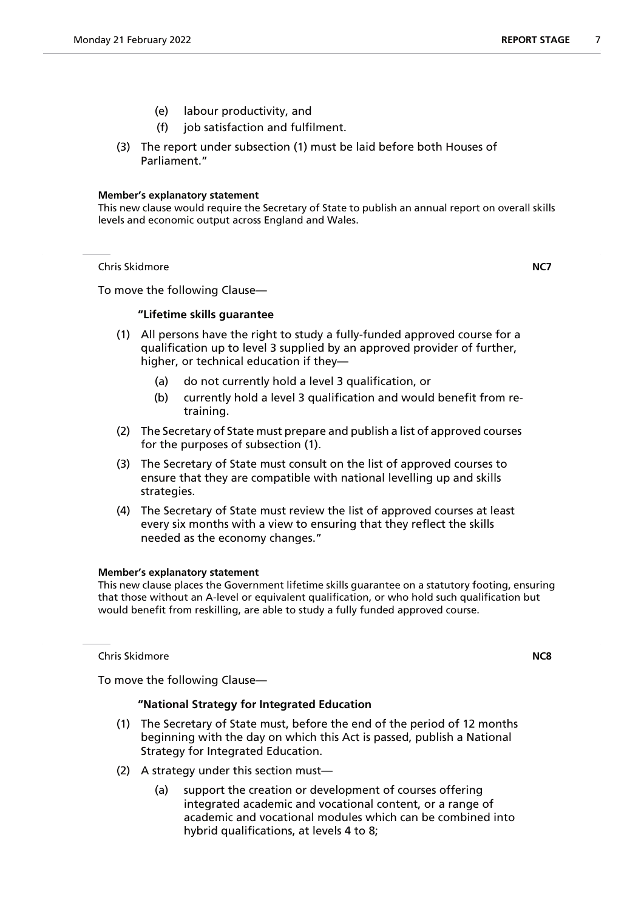- (e) labour productivity, and
- (f) job satisfaction and fulfilment.
- (3) The report under subsection (1) must be laid before both Houses of Parliament."

This new clause would require the Secretary of State to publish an annual report on overall skills levels and economic output across England and Wales.

Chris Skidmore **NC7**

To move the following Clause—

## **"Lifetime skills guarantee**

- (1) All persons have the right to study a fully-funded approved course for a qualification up to level 3 supplied by an approved provider of further, higher, or technical education if they—
	- (a) do not currently hold a level 3 qualification, or
	- (b) currently hold a level 3 qualification and would benefit from retraining.
- (2) The Secretary of State must prepare and publish a list of approved courses for the purposes of subsection (1).
- (3) The Secretary of State must consult on the list of approved courses to ensure that they are compatible with national levelling up and skills strategies.
- (4) The Secretary of State must review the list of approved courses at least every six months with a view to ensuring that they reflect the skills needed as the economy changes."

## **Member's explanatory statement**

This new clause places the Government lifetime skills guarantee on a statutory footing, ensuring that those without an A-level or equivalent qualification, or who hold such qualification but would benefit from reskilling, are able to study a fully funded approved course.

Chris Skidmore **NC8**

To move the following Clause—

## **"National Strategy for Integrated Education**

- (1) The Secretary of State must, before the end of the period of 12 months beginning with the day on which this Act is passed, publish a National Strategy for Integrated Education.
- (2) A strategy under this section must—
	- (a) support the creation or development of courses offering integrated academic and vocational content, or a range of academic and vocational modules which can be combined into hybrid qualifications, at levels 4 to 8;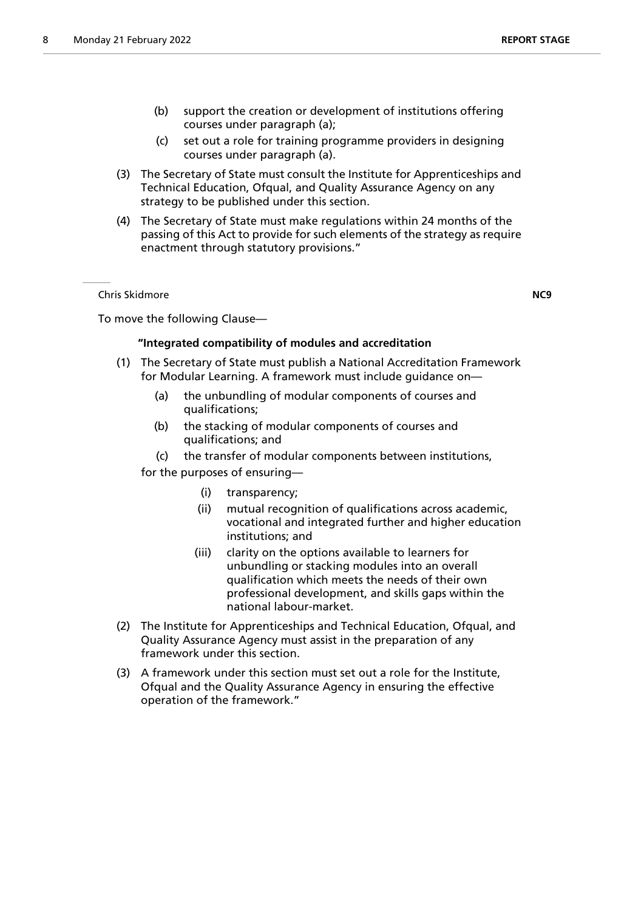- (b) support the creation or development of institutions offering courses under paragraph (a);
- (c) set out a role for training programme providers in designing courses under paragraph (a).
- (3) The Secretary of State must consult the Institute for Apprenticeships and Technical Education, Ofqual, and Quality Assurance Agency on any strategy to be published under this section.
- (4) The Secretary of State must make regulations within 24 months of the passing of this Act to provide for such elements of the strategy as require enactment through statutory provisions."

Chris Skidmore **NC9**

To move the following Clause—

## **"Integrated compatibility of modules and accreditation**

- (1) The Secretary of State must publish a National Accreditation Framework for Modular Learning. A framework must include guidance on—
	- (a) the unbundling of modular components of courses and qualifications;
	- (b) the stacking of modular components of courses and qualifications; and
	- (c) the transfer of modular components between institutions,
	- for the purposes of ensuring—
		- (i) transparency;
		- (ii) mutual recognition of qualifications across academic, vocational and integrated further and higher education institutions; and
		- (iii) clarity on the options available to learners for unbundling or stacking modules into an overall qualification which meets the needs of their own professional development, and skills gaps within the national labour-market.
- (2) The Institute for Apprenticeships and Technical Education, Ofqual, and Quality Assurance Agency must assist in the preparation of any framework under this section.
- (3) A framework under this section must set out a role for the Institute, Ofqual and the Quality Assurance Agency in ensuring the effective operation of the framework."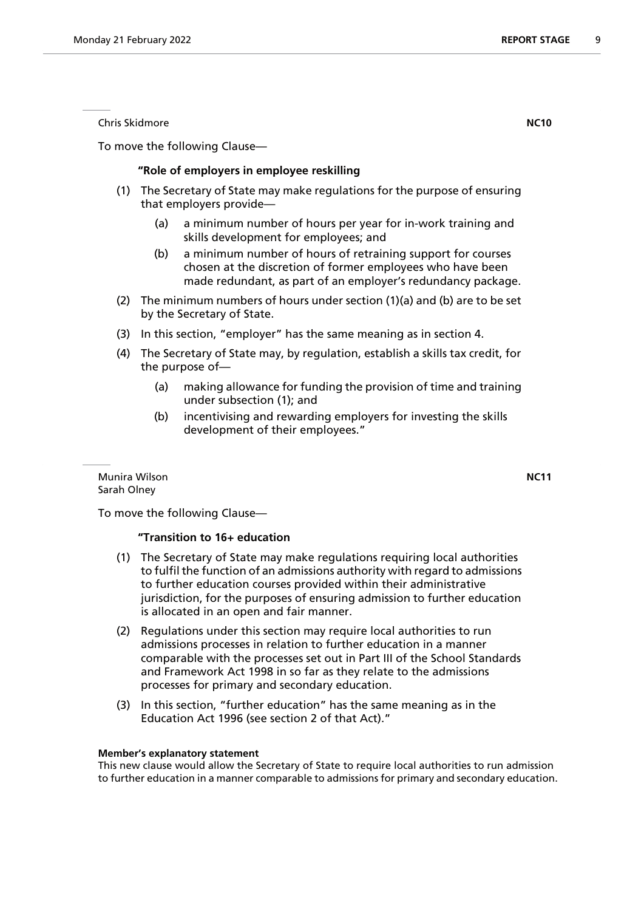To move the following Clause—

## **"Role of employers in employee reskilling**

- (1) The Secretary of State may make regulations for the purpose of ensuring that employers provide—
	- (a) a minimum number of hours per year for in-work training and skills development for employees; and
	- (b) a minimum number of hours of retraining support for courses chosen at the discretion of former employees who have been made redundant, as part of an employer's redundancy package.
- (2) The minimum numbers of hours under section (1)(a) and (b) are to be set by the Secretary of State.
- (3) In this section, "employer" has the same meaning as in section 4.
- (4) The Secretary of State may, by regulation, establish a skills tax credit, for the purpose of—
	- (a) making allowance for funding the provision of time and training under subsection (1); and
	- (b) incentivising and rewarding employers for investing the skills development of their employees."

Munira Wilson **NC11** Sarah Olney

To move the following Clause—

## **"Transition to 16+ education**

- (1) The Secretary of State may make regulations requiring local authorities to fulfil the function of an admissions authority with regard to admissions to further education courses provided within their administrative jurisdiction, for the purposes of ensuring admission to further education is allocated in an open and fair manner.
- (2) Regulations under this section may require local authorities to run admissions processes in relation to further education in a manner comparable with the processes set out in Part III of the School Standards and Framework Act 1998 in so far as they relate to the admissions processes for primary and secondary education.
- (3) In this section, "further education" has the same meaning as in the Education Act 1996 (see section 2 of that Act)."

#### **Member's explanatory statement**

This new clause would allow the Secretary of State to require local authorities to run admission to further education in a manner comparable to admissions for primary and secondary education.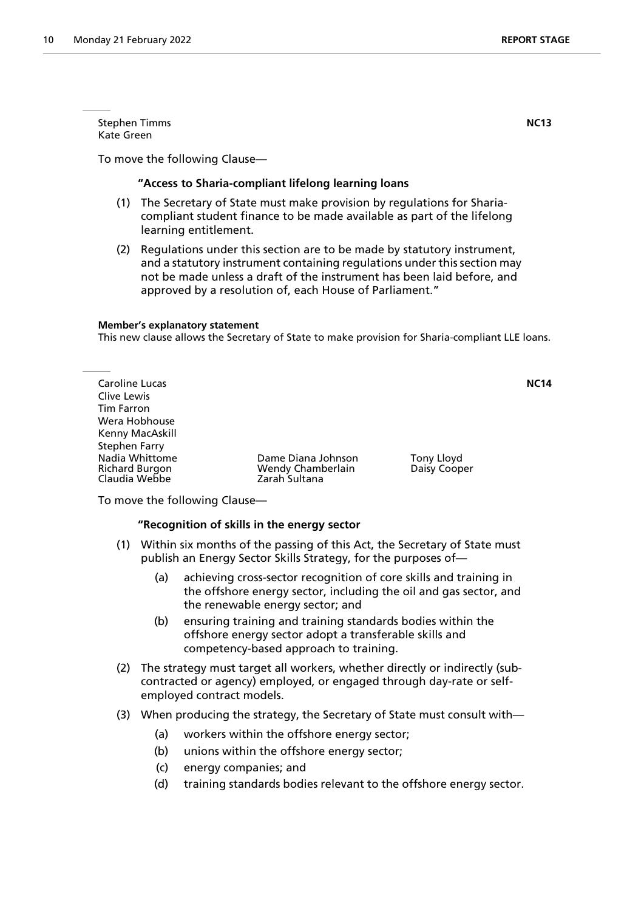**Stephen Timms NC13** Kate Green

To move the following Clause—

## **"Access to Sharia-compliant lifelong learning loans**

- (1) The Secretary of State must make provision by regulations for Shariacompliant student finance to be made available as part of the lifelong learning entitlement.
- (2) Regulations under this section are to be made by statutory instrument, and a statutory instrument containing regulations under this section may not be made unless a draft of the instrument has been laid before, and approved by a resolution of, each House of Parliament."

#### **Member's explanatory statement**

This new clause allows the Secretary of State to make provision for Sharia-compliant LLE loans.

| Caroline Lucas  |                    |              | <b>NC14</b> |
|-----------------|--------------------|--------------|-------------|
| Clive Lewis     |                    |              |             |
| Tim Farron      |                    |              |             |
| Wera Hobhouse   |                    |              |             |
| Kenny MacAskill |                    |              |             |
| Stephen Farry   |                    |              |             |
| Nadia Whittome  | Dame Diana Johnson | Tony Lloyd   |             |
| Richard Burgon  | Wendy Chamberlain  | Daisy Cooper |             |
| Claudia Webbe   | Zarah Sultana      |              |             |

To move the following Clause—

#### **"Recognition of skills in the energy sector**

- (1) Within six months of the passing of this Act, the Secretary of State must publish an Energy Sector Skills Strategy, for the purposes of—
	- (a) achieving cross-sector recognition of core skills and training in the offshore energy sector, including the oil and gas sector, and the renewable energy sector; and
	- (b) ensuring training and training standards bodies within the offshore energy sector adopt a transferable skills and competency-based approach to training.
- (2) The strategy must target all workers, whether directly or indirectly (subcontracted or agency) employed, or engaged through day-rate or selfemployed contract models.
- (3) When producing the strategy, the Secretary of State must consult with—
	- (a) workers within the offshore energy sector;
	- (b) unions within the offshore energy sector;
	- (c) energy companies; and
	- (d) training standards bodies relevant to the offshore energy sector.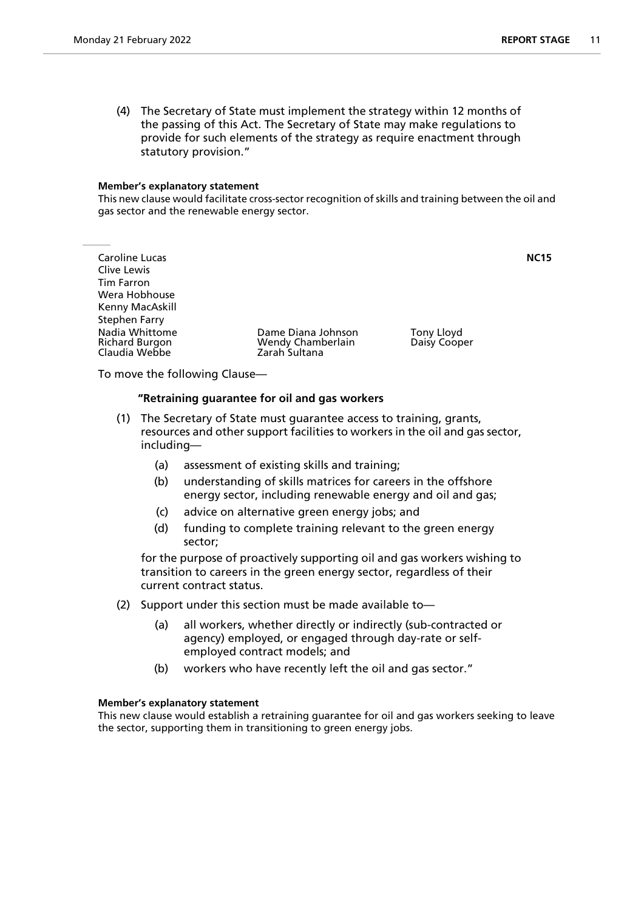This new clause would facilitate cross-sector recognition of skills and training between the oil and gas sector and the renewable energy sector.

Caroline Lucas **NC15** Clive Lewis Tim Farron Wera Hobhouse Kenny MacAskill Stephen Farry Claudia Webbe

Nadia Whittome **National Dame Diana Johnson** Tony Lloyd<br>Richard Burgon **National Wendy Chamberlain** Daisy Cooper Wendy Chamberlain<br>Zarah Sultana

To move the following Clause—

## **"Retraining guarantee for oil and gas workers**

- (1) The Secretary of State must guarantee access to training, grants, resources and other support facilities to workers in the oil and gas sector, including—
	- (a) assessment of existing skills and training;
	- (b) understanding of skills matrices for careers in the offshore energy sector, including renewable energy and oil and gas;
	- (c) advice on alternative green energy jobs; and
	- (d) funding to complete training relevant to the green energy sector;

for the purpose of proactively supporting oil and gas workers wishing to transition to careers in the green energy sector, regardless of their current contract status.

- (2) Support under this section must be made available to—
	- (a) all workers, whether directly or indirectly (sub-contracted or agency) employed, or engaged through day-rate or selfemployed contract models; and
	- (b) workers who have recently left the oil and gas sector."

#### **Member's explanatory statement**

This new clause would establish a retraining guarantee for oil and gas workers seeking to leave the sector, supporting them in transitioning to green energy jobs.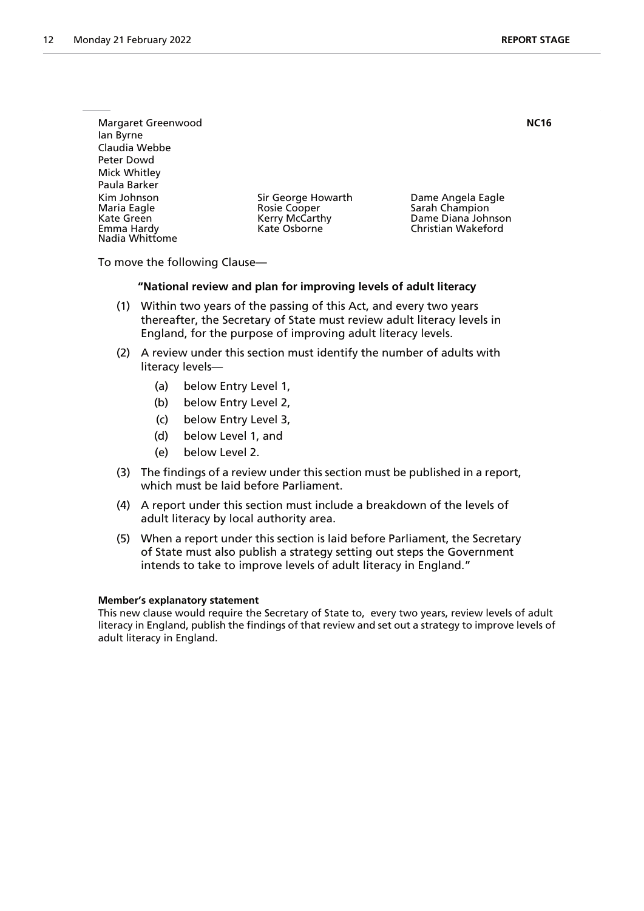| Margaret Greenwood<br>lan Byrne<br>Claudia Webbe                         |                                                                      |                                                                                 | <b>NC16</b> |
|--------------------------------------------------------------------------|----------------------------------------------------------------------|---------------------------------------------------------------------------------|-------------|
| Peter Dowd<br>Mick Whitley<br>Paula Barker                               |                                                                      |                                                                                 |             |
| Kim Johnson<br>Maria Eagle<br>Kate Green<br>Emma Hardy<br>Nadia Whittome | Sir George Howarth<br>Rosie Cooper<br>Kerry McCarthy<br>Kate Osborne | Dame Angela Eagle<br>Sarah Champion<br>Dame Diana Johnson<br>Christian Wakeford |             |

To move the following Clause—

#### **"National review and plan for improving levels of adult literacy**

- (1) Within two years of the passing of this Act, and every two years thereafter, the Secretary of State must review adult literacy levels in England, for the purpose of improving adult literacy levels.
- (2) A review under this section must identify the number of adults with literacy levels—
	- (a) below Entry Level 1,
	- (b) below Entry Level 2,
	- (c) below Entry Level 3,
	- (d) below Level 1, and
	- (e) below Level 2.
- (3) The findings of a review under this section must be published in a report, which must be laid before Parliament.
- (4) A report under this section must include a breakdown of the levels of adult literacy by local authority area.
- (5) When a report under this section is laid before Parliament, the Secretary of State must also publish a strategy setting out steps the Government intends to take to improve levels of adult literacy in England."

#### **Member's explanatory statement**

This new clause would require the Secretary of State to, every two years, review levels of adult literacy in England, publish the findings of that review and set out a strategy to improve levels of adult literacy in England.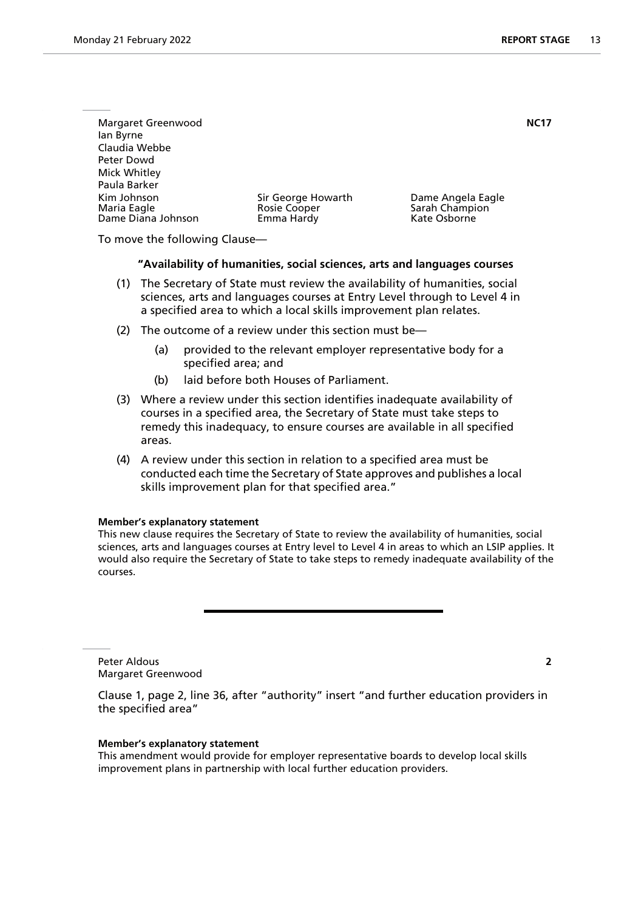| Margaret Greenwood         |                                    |                                     | <b>NC17</b> |
|----------------------------|------------------------------------|-------------------------------------|-------------|
| lan Byrne                  |                                    |                                     |             |
| Claudia Webbe              |                                    |                                     |             |
| Peter Dowd                 |                                    |                                     |             |
| Mick Whitley               |                                    |                                     |             |
| Paula Barker               |                                    |                                     |             |
| Kim Johnson<br>Maria Eagle | Sir George Howarth<br>Rosie Cooper | Dame Angela Eagle<br>Sarah Champion |             |
| Dame Diana Johnson         | Emma Hardy                         | Kate Osborne                        |             |
|                            |                                    |                                     |             |

To move the following Clause—

#### **"Availability of humanities, social sciences, arts and languages courses**

- (1) The Secretary of State must review the availability of humanities, social sciences, arts and languages courses at Entry Level through to Level 4 in a specified area to which a local skills improvement plan relates.
- (2) The outcome of a review under this section must be—
	- (a) provided to the relevant employer representative body for a specified area; and
	- (b) laid before both Houses of Parliament.
- (3) Where a review under this section identifies inadequate availability of courses in a specified area, the Secretary of State must take steps to remedy this inadequacy, to ensure courses are available in all specified areas.
- (4) A review under this section in relation to a specified area must be conducted each time the Secretary of State approves and publishes a local skills improvement plan for that specified area."

#### **Member's explanatory statement**

This new clause requires the Secretary of State to review the availability of humanities, social sciences, arts and languages courses at Entry level to Level 4 in areas to which an LSIP applies. It would also require the Secretary of State to take steps to remedy inadequate availability of the courses.

Peter Aldous **2** Margaret Greenwood

Clause 1, page 2, line 36, after "authority" insert "and further education providers in the specified area"

#### **Member's explanatory statement**

This amendment would provide for employer representative boards to develop local skills improvement plans in partnership with local further education providers.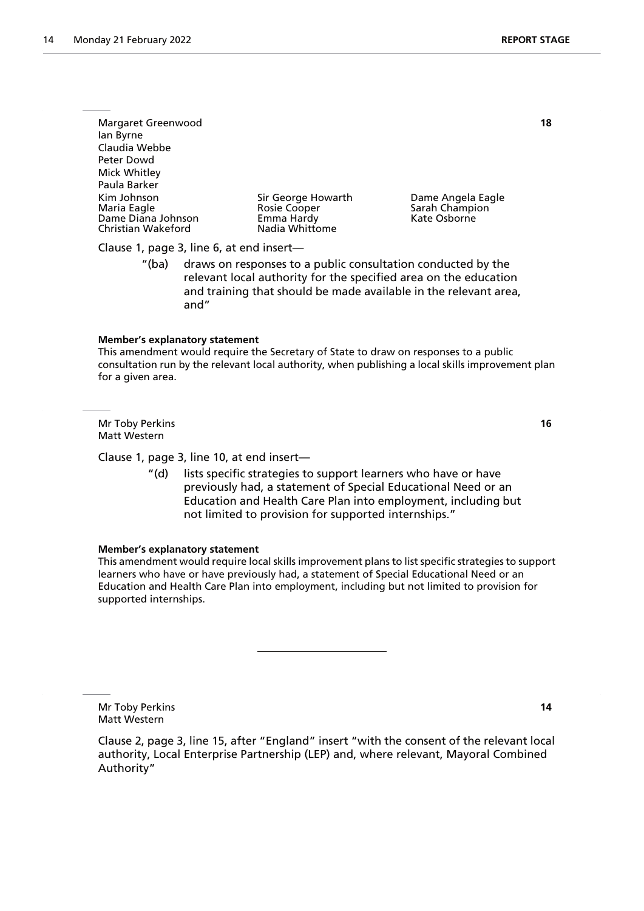Margaret Greenwood **18** Ian Byrne Claudia Webbe Peter Dowd Mick Whitley Paula Barker Kim Johnson Sir George Howarth Dame Angela Eagle Rosie Cooper Sarah Champion<br>Emma Hardy Sarah Champion Dame Diana Johnson Film Emma Hardy<br>
Christian Wakeford Christian Olave Nadia Whittome Christian Wakeford

Clause 1, page 3, line 6, at end insert—

"(ba) draws on responses to a public consultation conducted by the relevant local authority for the specified area on the education and training that should be made available in the relevant area, and"

#### **Member's explanatory statement**

This amendment would require the Secretary of State to draw on responses to a public consultation run by the relevant local authority, when publishing a local skills improvement plan for a given area.

Mr Toby Perkins **16** Matt Western

Clause 1, page 3, line 10, at end insert—

"(d) lists specific strategies to support learners who have or have previously had, a statement of Special Educational Need or an Education and Health Care Plan into employment, including but not limited to provision for supported internships."

#### **Member's explanatory statement**

This amendment would require local skills improvement plans to list specific strategies to support learners who have or have previously had, a statement of Special Educational Need or an Education and Health Care Plan into employment, including but not limited to provision for supported internships.

Mr Toby Perkins **14** Matt Western

Clause 2, page 3, line 15, after "England" insert "with the consent of the relevant local authority, Local Enterprise Partnership (LEP) and, where relevant, Mayoral Combined Authority"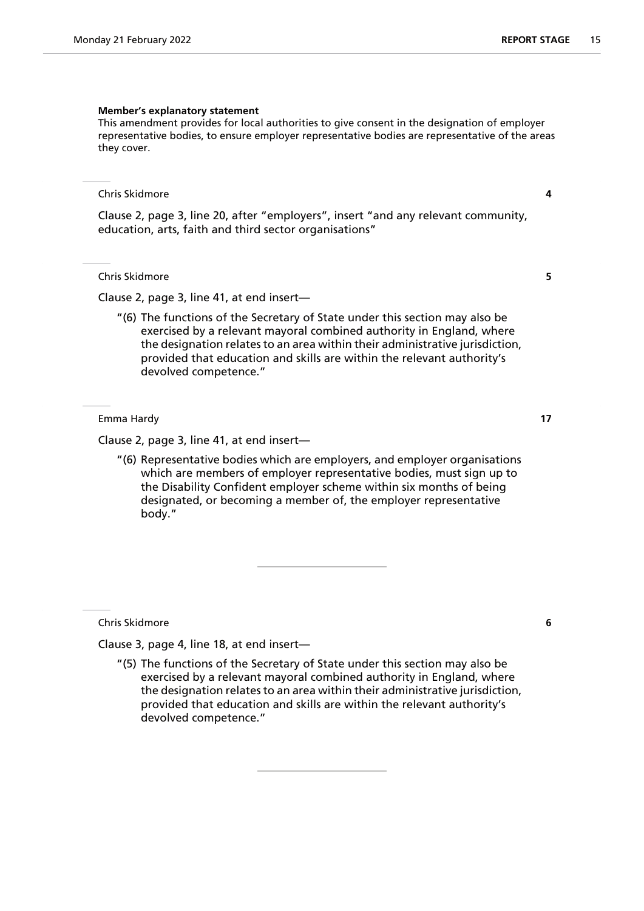This amendment provides for local authorities to give consent in the designation of employer representative bodies, to ensure employer representative bodies are representative of the areas they cover.

#### Chris Skidmore **4**

Clause 2, page 3, line 20, after "employers", insert "and any relevant community, education, arts, faith and third sector organisations"

Chris Skidmore **5**

Clause 2, page 3, line 41, at end insert—

"(6) The functions of the Secretary of State under this section may also be exercised by a relevant mayoral combined authority in England, where the designation relates to an area within their administrative jurisdiction, provided that education and skills are within the relevant authority's devolved competence."

Emma Hardy **17**

Clause 2, page 3, line 41, at end insert—

"(6) Representative bodies which are employers, and employer organisations which are members of employer representative bodies, must sign up to the Disability Confident employer scheme within six months of being designated, or becoming a member of, the employer representative body."

Chris Skidmore **6**

Clause 3, page 4, line 18, at end insert—

"(5) The functions of the Secretary of State under this section may also be exercised by a relevant mayoral combined authority in England, where the designation relates to an area within their administrative jurisdiction, provided that education and skills are within the relevant authority's devolved competence."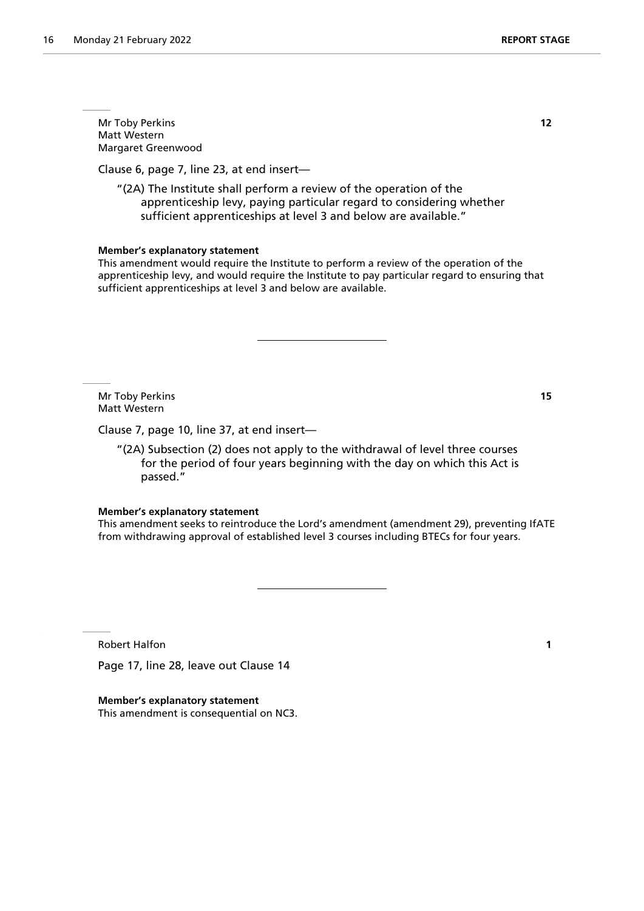Mr Toby Perkins **12** Matt Western Margaret Greenwood

Clause 6, page 7, line 23, at end insert—

"(2A) The Institute shall perform a review of the operation of the apprenticeship levy, paying particular regard to considering whether sufficient apprenticeships at level 3 and below are available."

#### **Member's explanatory statement**

This amendment would require the Institute to perform a review of the operation of the apprenticeship levy, and would require the Institute to pay particular regard to ensuring that sufficient apprenticeships at level 3 and below are available.

Mr Toby Perkins **15** Matt Western

Clause 7, page 10, line 37, at end insert—

"(2A) Subsection (2) does not apply to the withdrawal of level three courses for the period of four years beginning with the day on which this Act is passed."

#### **Member's explanatory statement**

This amendment seeks to reintroduce the Lord's amendment (amendment 29), preventing IfATE from withdrawing approval of established level 3 courses including BTECs for four years.

Robert Halfon **1**

Page 17, line 28, leave out Clause 14

**Member's explanatory statement** This amendment is consequential on NC3.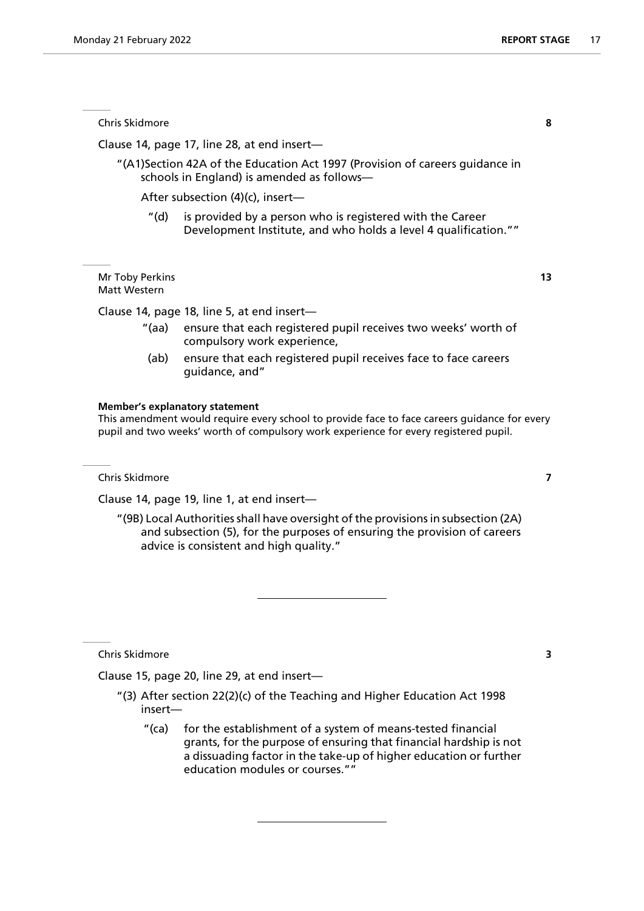Chris Skidmore **8**

Clause 14, page 17, line 28, at end insert—

"(A1)Section 42A of the Education Act 1997 (Provision of careers guidance in schools in England) is amended as follows—

After subsection (4)(c), insert—

"(d) is provided by a person who is registered with the Career Development Institute, and who holds a level 4 qualification.""

Mr Toby Perkins **13** Matt Western

Clause 14, page 18, line 5, at end insert—

- "(aa) ensure that each registered pupil receives two weeks' worth of compulsory work experience,
- (ab) ensure that each registered pupil receives face to face careers guidance, and"

#### **Member's explanatory statement**

This amendment would require every school to provide face to face careers guidance for every pupil and two weeks' worth of compulsory work experience for every registered pupil.

Chris Skidmore **7**

Clause 14, page 19, line 1, at end insert—

"(9B) Local Authorities shall have oversight of the provisions in subsection (2A) and subsection (5), for the purposes of ensuring the provision of careers advice is consistent and high quality."

Chris Skidmore **3**

Clause 15, page 20, line 29, at end insert—

- "(3) After section 22(2)(c) of the Teaching and Higher Education Act 1998 insert—
	- "(ca) for the establishment of a system of means-tested financial grants, for the purpose of ensuring that financial hardship is not a dissuading factor in the take-up of higher education or further education modules or courses.""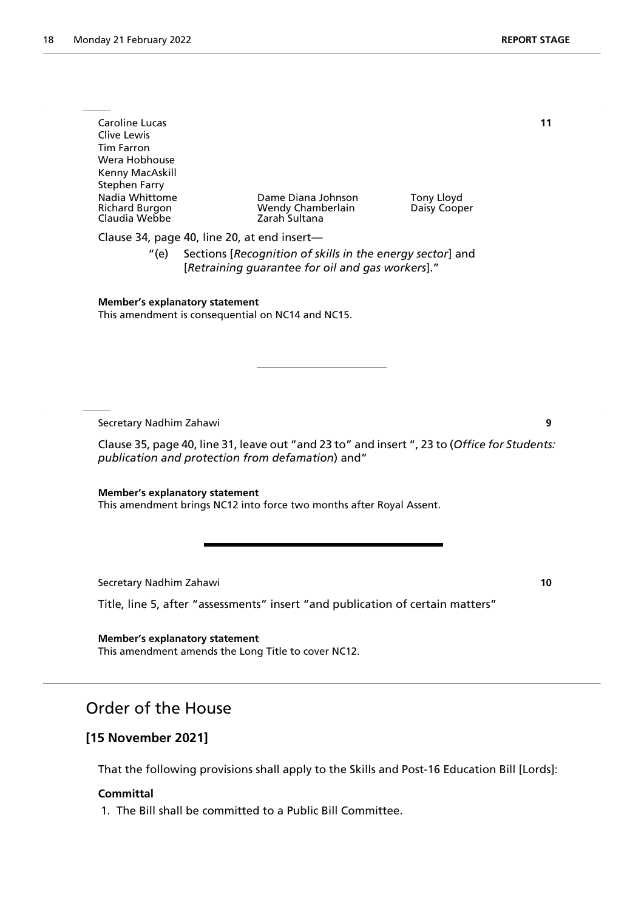| Caroline Lucas<br>Clive Lewis<br>Tim Farron<br>Wera Hobhouse<br>Kenny MacAskill<br>Stephen Farry<br><b>Nadia Whittome</b><br><b>Richard Burgon</b><br>Claudia Webbe | Dame Diana Johnson<br>Wendy Chamberlain<br>Zarah Sultana | Tony Lloyd<br>Daisy Cooper | 11 |
|---------------------------------------------------------------------------------------------------------------------------------------------------------------------|----------------------------------------------------------|----------------------------|----|
| Clause 34, page 40, line 20, at end insert-                                                                                                                         |                                                          |                            |    |

"(e) Sections [*Recognition of skills in the energy sector*] and [*Retraining guarantee for oil and gas workers*]."

## **Member's explanatory statement**

This amendment is consequential on NC14 and NC15.

Secretary Nadhim Zahawi **9**

Clause 35, page 40, line 31, leave out "and 23 to" and insert ", 23 to (*Office for Students: publication and protection from defamation*) and"

**Member's explanatory statement** This amendment brings NC12 into force two months after Royal Assent.

Secretary Nadhim Zahawi **10**

Title, line 5, after "assessments" insert "and publication of certain matters"

**Member's explanatory statement** This amendment amends the Long Title to cover NC12.

## Order of the House

## **[15 November 2021]**

That the following provisions shall apply to the Skills and Post-16 Education Bill [Lords]:

#### **Committal**

1. The Bill shall be committed to a Public Bill Committee.